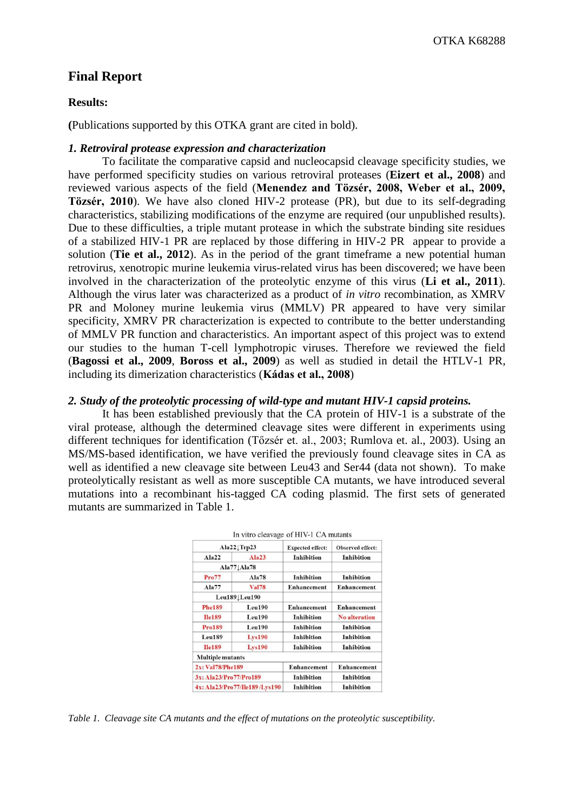# **Final Report**

## **Results:**

**(**Publications supported by this OTKA grant are cited in bold).

## *1. Retroviral protease expression and characterization*

To facilitate the comparative capsid and nucleocapsid cleavage specificity studies, we have performed specificity studies on various retroviral proteases (**Eizert et al., 2008**) and reviewed various aspects of the field (**Menendez and Tözsér, 2008, Weber et al., 2009, Tözsér, 2010**). We have also cloned HIV-2 protease (PR), but due to its self-degrading characteristics, stabilizing modifications of the enzyme are required (our unpublished results). Due to these difficulties, a triple mutant protease in which the substrate binding site residues of a stabilized HIV-1 PR are replaced by those differing in HIV-2 PR appear to provide a solution (**Tie et al., 2012**). As in the period of the grant timeframe a new potential human retrovirus, xenotropic murine leukemia virus-related virus has been discovered; we have been involved in the characterization of the proteolytic enzyme of this virus (**Li et al., 2011**). Although the virus later was characterized as a product of *in vitro* recombination, as XMRV PR and Moloney murine leukemia virus (MMLV) PR appeared to have very similar specificity, XMRV PR characterization is expected to contribute to the better understanding of MMLV PR function and characteristics. An important aspect of this project was to extend our studies to the human T-cell lymphotropic viruses. Therefore we reviewed the field (**Bagossi et al., 2009**, **Boross et al., 2009**) as well as studied in detail the HTLV-1 PR, including its dimerization characteristics (**Kádas et al., 2008**)

## *2. Study of the proteolytic processing of wild-type and mutant HIV-1 capsid proteins.*

It has been established previously that the CA protein of HIV-1 is a substrate of the viral protease, although the determined cleavage sites were different in experiments using different techniques for identification (Tőzsér et. al., 2003; Rumlova et. al., 2003). Using an MS/MS-based identification, we have verified the previously found cleavage sites in CA as well as identified a new cleavage site between Leu43 and Ser44 (data not shown). To make proteolytically resistant as well as more susceptible CA mutants, we have introduced several mutations into a recombinant his-tagged CA coding plasmid. The first sets of generated mutants are summarized in Table 1.

| Ala22 Trp23                   |               | <b>Expected effect:</b> | Observed effect:     |  |
|-------------------------------|---------------|-------------------------|----------------------|--|
| Ala22                         | Ala23         | Inhibition              | Inhibition           |  |
|                               | Ala77 Ala78   |                         |                      |  |
| Pro77                         | Ala78         | Inhibition              | Inhibition           |  |
| Ala77                         | <b>Val78</b>  | <b>Enhancement</b>      | <b>Enhancement</b>   |  |
|                               | Leu189 Leu190 |                         |                      |  |
| <b>Phe189</b>                 | Leu190        | Enhancement             | <b>Enhancement</b>   |  |
| <b>Ile189</b>                 | Leu190        | Inhibition              | <b>No alteration</b> |  |
| <b>Pro189</b>                 | Leu190        | <b>Inhibition</b>       | <b>Inhibition</b>    |  |
| Leu189                        | <b>Lys190</b> | Inhibition              | Inhibition           |  |
| <b>Ile189</b>                 | <b>Lys190</b> | Inhibition              | Inhibition           |  |
| <b>Multiple mutants</b>       |               |                         |                      |  |
| 2x: Val78/Phe189              |               | Enhancement             | Enhancement          |  |
| 3x: Ala23/Pro77/Pro189        |               | Inhibition              | Inhibition           |  |
| 4x: Ala23/Pro77/Ile189/Lys190 |               | Inhibition              | Inhibition           |  |

*Table 1. Cleavage site CA mutants and the effect of mutations on the proteolytic susceptibility.*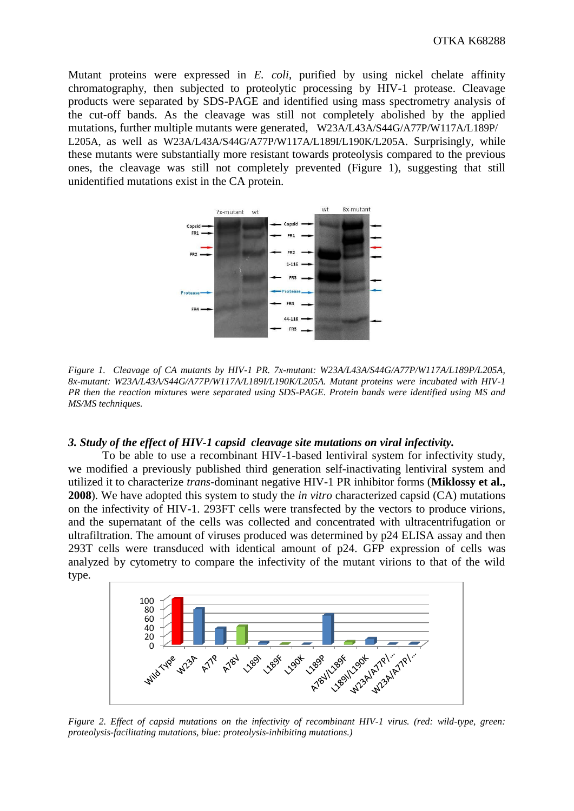Mutant proteins were expressed in *E. coli*, purified by using nickel chelate affinity chromatography, then subjected to proteolytic processing by HIV-1 protease. Cleavage products were separated by SDS-PAGE and identified using mass spectrometry analysis of the cut-off bands. As the cleavage was still not completely abolished by the applied mutations, further multiple mutants were generated, W23A/L43A/S44G/A77P/W117A/L189P/ L205A, as well as W23A/L43A/S44G/A77P/W117A/L189I/L190K/L205A. Surprisingly, while these mutants were substantially more resistant towards proteolysis compared to the previous ones, the cleavage was still not completely prevented (Figure 1), suggesting that still unidentified mutations exist in the CA protein.



*Figure 1. Cleavage of CA mutants by HIV-1 PR. 7x-mutant: W23A/L43A/S44G/A77P/W117A/L189P/L205A, 8x-mutant: W23A/L43A/S44G/A77P/W117A/L189I/L190K/L205A. Mutant proteins were incubated with HIV-1 PR then the reaction mixtures were separated using SDS-PAGE. Protein bands were identified using MS and MS/MS techniques.*

#### *3. Study of the effect of HIV-1 capsid cleavage site mutations on viral infectivity.*

To be able to use a recombinant HIV-1-based lentiviral system for infectivity study, we modified a previously published third generation self-inactivating lentiviral system and utilized it to characterize *trans*-dominant negative HIV-1 PR inhibitor forms (**Miklossy et al., 2008**). We have adopted this system to study the *in vitro* characterized capsid (CA) mutations on the infectivity of HIV-1. 293FT cells were transfected by the vectors to produce virions, and the supernatant of the cells was collected and concentrated with ultracentrifugation or ultrafiltration. The amount of viruses produced was determined by p24 ELISA assay and then 293T cells were transduced with identical amount of p24. GFP expression of cells was analyzed by cytometry to compare the infectivity of the mutant virions to that of the wild type.



*Figure 2. Effect of capsid mutations on the infectivity of recombinant HIV-1 virus. (red: wild-type, green: proteolysis-facilitating mutations, blue: proteolysis-inhibiting mutations.)*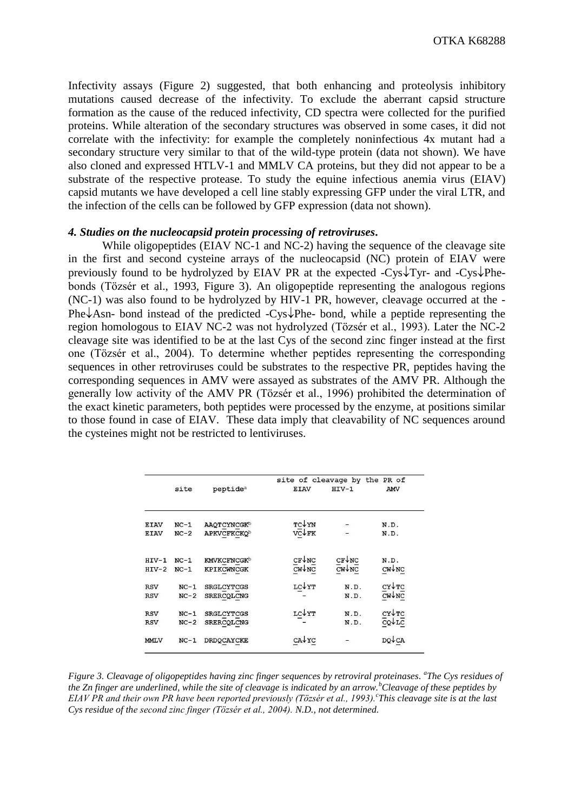Infectivity assays (Figure 2) suggested, that both enhancing and proteolysis inhibitory mutations caused decrease of the infectivity. To exclude the aberrant capsid structure formation as the cause of the reduced infectivity, CD spectra were collected for the purified proteins. While alteration of the secondary structures was observed in some cases, it did not correlate with the infectivity: for example the completely noninfectious 4x mutant had a secondary structure very similar to that of the wild-type protein (data not shown). We have also cloned and expressed HTLV-1 and MMLV CA proteins, but they did not appear to be a substrate of the respective protease. To study the equine infectious anemia virus (EIAV) capsid mutants we have developed a cell line stably expressing GFP under the viral LTR, and the infection of the cells can be followed by GFP expression (data not shown).

#### *4. Studies on the nucleocapsid protein processing of retroviruses***.**

While oligopeptides (EIAV NC-1 and NC-2) having the sequence of the cleavage site in the first and second cysteine arrays of the nucleocapsid (NC) protein of EIAV were previously found to be hydrolyzed by EIAV PR at the expected -Cys  $\sqrt{T}V$ - and -Cys  $\sqrt{P}$ hebonds (Tözsér et al., 1993, Figure 3). An oligopeptide representing the analogous regions (NC-1) was also found to be hydrolyzed by HIV-1 PR, however, cleavage occurred at the - Phe  $\lambda$ Asn- bond instead of the predicted -Cys Phe- bond, while a peptide representing the region homologous to EIAV NC-2 was not hydrolyzed (Tözsér et al., 1993). Later the NC-2 cleavage site was identified to be at the last Cys of the second zinc finger instead at the first one (Tözsér et al., 2004). To determine whether peptides representing the corresponding sequences in other retroviruses could be substrates to the respective PR, peptides having the corresponding sequences in AMV were assayed as substrates of the AMV PR. Although the generally low activity of the AMV PR (Tözsér et al., 1996) prohibited the determination of the exact kinetic parameters, both peptides were processed by the enzyme, at positions similar to those found in case of EIAV. These data imply that cleavability of NC sequences around the cysteines might not be restricted to lentiviruses.

|             | site<br>peptide <sup>a</sup> |                         | site of cleavage by<br><b>EIAV</b> | the PR of<br>AMV |                    |
|-------------|------------------------------|-------------------------|------------------------------------|------------------|--------------------|
|             |                              |                         |                                    |                  |                    |
| <b>EIAV</b> | $NC-1$                       | AAQTCYNCGKb             | TC↓YN                              |                  | N.D.               |
| <b>EIAV</b> | $NC-2$                       | APKVCFKCKQ <sup>b</sup> | $V\overline{C} \downarrow$ FK      |                  | N.D.               |
| $HIV-1$     | $NC-1$                       | <b>KMVKCFNCGK</b> b     | CFVNC                              | CFVNC            | N.D.               |
| $HIV-2$     | $NC-1$                       | KPIKCWNCGK              | CWVNC                              | $CW+NC$          | $CW\downarrow NC$  |
| <b>RSV</b>  | $NC-1$                       | <b>SRGLCYTCGS</b>       | LC↓YT                              | N.D.             | $CY\sqrt{TC}$      |
| <b>RSV</b>  | $NC-2$                       | SRERCQLCNG              |                                    | N.D.             | $CW+NC$            |
| <b>RSV</b>  | $NC-1$                       | <b>SRGLCYTCGS</b>       | LC↓YT                              | N.D.             | CY↓TC              |
| <b>RSV</b>  | $NC-2$                       | SRERCQLCNG              |                                    | N.D.             | $CQ + LC$          |
| <b>MMLV</b> | $NC-1$                       | DRDQCAYCKE              | CAVC                               |                  | $DQ\downarrow C A$ |

*Figure 3. Cleavage of oligopeptides having zinc finger sequences by retroviral proteinases. a The Cys residues of the Zn finger are underlined, while the site of cleavage is indicated by an arrow.<sup>b</sup>Cleavage of these peptides by EIAV PR and their own PR have been reported previously (Tözsér et al., 1993).<sup>c</sup> This cleavage site is at the last Cys residue of the second zinc finger (Tözsér et al., 2004). N.D., not determined.*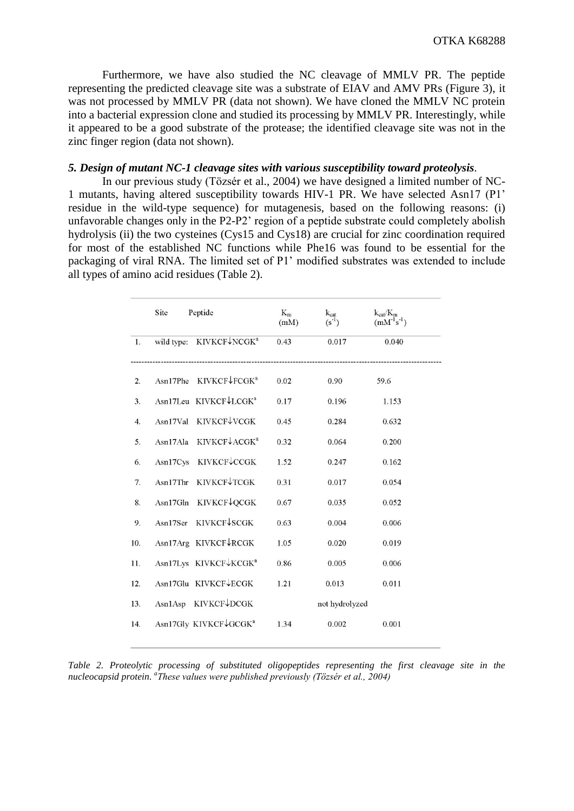Furthermore, we have also studied the NC cleavage of MMLV PR. The peptide representing the predicted cleavage site was a substrate of EIAV and AMV PRs (Figure 3), it was not processed by MMLV PR (data not shown). We have cloned the MMLV NC protein into a bacterial expression clone and studied its processing by MMLV PR. Interestingly, while it appeared to be a good substrate of the protease; the identified cleavage site was not in the zinc finger region (data not shown).

# *5. Design of mutant NC-1 cleavage sites with various susceptibility toward proteolysis.*

In our previous study (Tözsér et al., 2004) we have designed a limited number of NC-1 mutants, having altered susceptibility towards HIV-1 PR. We have selected Asn17 (P1' residue in the wild-type sequence) for mutagenesis, based on the following reasons: (i) unfavorable changes only in the P2-P2' region of a peptide substrate could completely abolish hydrolysis (ii) the two cysteines (Cys15 and Cys18) are crucial for zinc coordination required for most of the established NC functions while Phe16 was found to be essential for the packaging of viral RNA. The limited set of P1' modified substrates was extended to include all types of amino acid residues (Table 2).

|                  | Site       | Peptide                           | $K_m$<br>(mM) | $k_{cat}$<br>$(s^{-1})$ | $k_{cat}/K_m$<br>$(mM^{-1}s^{-1})$ |
|------------------|------------|-----------------------------------|---------------|-------------------------|------------------------------------|
| 1.               | wild type: | KIVKCF↓NCGK <sup>a</sup>          | 0.43          | 0.017                   | 0.040                              |
| 2.               | Asn17Phe   | KIVKCF↓FCGK <sup>a</sup>          | 0.02          | 0.90                    | 59.6                               |
| 3.               |            | Asn17Leu KIVKCF↓LCGK <sup>a</sup> | 0.17          | 0.196                   | 1.153                              |
| $\overline{4}$ . | Asn17Val   | KIVKCF↓VCGK                       | 0.45          | 0.284                   | 0.632                              |
| 5.               | Asn17Ala   | KIVKCF↓ACGK <sup>a</sup>          | 0.32          | 0.064                   | 0.200                              |
| 6.               |            | Asn17Cys KIVKCF↓CCGK              | 1.52          | 0.247                   | 0.162                              |
| 7.               | Asn17Thr   | KIVKCF↓TCGK                       | 0.31          | 0.017                   | 0.054                              |
| 8.               | Asn17Gln   | <b>KIVKCF↓QCGK</b>                | 0.67          | 0.035                   | 0.052                              |
| 9.               | Asn17Ser   | <b>KIVKCF↓SCGK</b>                | 0.63          | 0.004                   | 0.006                              |
| 10.              |            | Asn17Arg KIVKCF↓RCGK              | 1.05          | 0.020                   | 0.019                              |
| 11.              |            | Asn17Lys KIVKCF↓KCGK <sup>a</sup> | 0.86          | 0.005                   | 0.006                              |
| 12.              |            | Asn17Glu KIVKCF↓ECGK              | 1.21          | 0.013                   | 0.011                              |
| 13.              |            | Asn1Asp KIVKCF↓DCGK               |               | not hydrolyzed          |                                    |
| 14.              |            | Asn17Gly KIVKCF↓GCGK <sup>a</sup> | 1.34          | 0.002                   | 0.001                              |

*Table 2. Proteolytic processing of substituted oligopeptides representing the first cleavage site in the nucleocapsid protein. a These values were published previously (Tözsér et al., 2004)*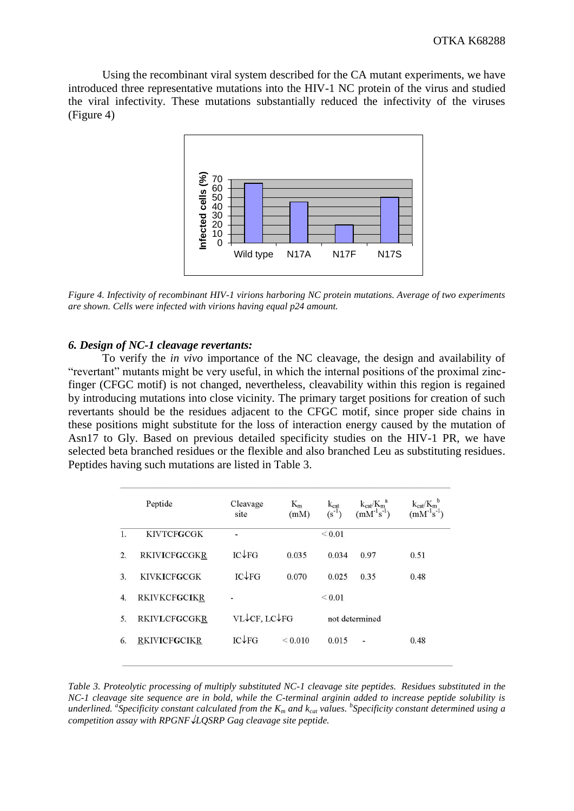Using the recombinant viral system described for the CA mutant experiments, we have introduced three representative mutations into the HIV-1 NC protein of the virus and studied the viral infectivity. These mutations substantially reduced the infectivity of the viruses (Figure 4)



*Figure 4. Infectivity of recombinant HIV-1 virions harboring NC protein mutations. Average of two experiments are shown. Cells were infected with virions having equal p24 amount.* 

## *6. Design of NC-1 cleavage revertants:*

To verify the *in vivo* importance of the NC cleavage, the design and availability of "revertant" mutants might be very useful, in which the internal positions of the proximal zincfinger (CFGC motif) is not changed, nevertheless, cleavability within this region is regained by introducing mutations into close vicinity. The primary target positions for creation of such revertants should be the residues adjacent to the CFGC motif, since proper side chains in these positions might substitute for the loss of interaction energy caused by the mutation of Asn17 to Gly. Based on previous detailed specificity studies on the HIV-1 PR, we have selected beta branched residues or the flexible and also branched Leu as substituting residues. Peptides having such mutations are listed in Table 3.

|    | Peptide             | Cleavage<br>site    | $K_m$<br>(mM) | $k_{cat}$<br>$(s^{-1})$ | $k_{cat}/K_m^a$<br>$(mM^{-1}s^{-1})$ | $k_{cat}/K_m^b$<br>$(mM^{-1}s^{-1})$ |
|----|---------------------|---------------------|---------------|-------------------------|--------------------------------------|--------------------------------------|
| 1. | <b>KIVTCFGCGK</b>   | ۰                   |               | ${}_{\leq 0.01}$        |                                      |                                      |
| 2. | <b>RKIVICFGCGKR</b> | $IC \rightarrow FG$ | 0.035         | 0.034                   | 0.97                                 | 0.51                                 |
| 3. | <b>KIVKICFGCGK</b>  | IC↓FG               | 0.070         | 0.025                   | 0.35                                 | 0.48                                 |
| 4. | <b>RKIVKCFGCIKR</b> |                     |               | ${}_{0.01}$             |                                      |                                      |
| 5. | <b>RKIVLCFGCGKR</b> | VL↓CF, LC↓FG        |               |                         | not determined                       |                                      |
| 6. | <b>RKIVICFGCIKR</b> | $IC \rightarrow FG$ | ${}_{0.010}$  | 0.015                   |                                      | 0.48                                 |
|    |                     |                     |               |                         |                                      |                                      |

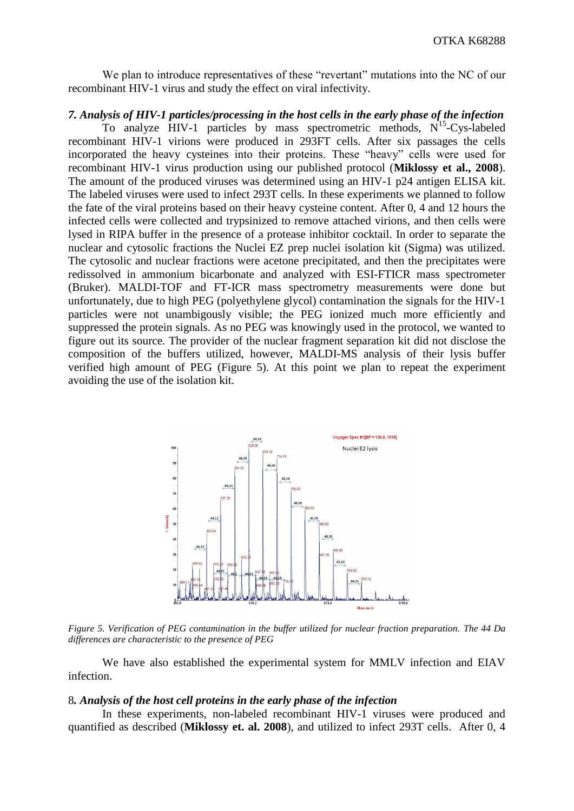We plan to introduce representatives of these "revertant" mutations into the NC of our recombinant HIV-1 virus and study the effect on viral infectivity.

# *7. Analysis of HIV-1 particles/processing in the host cells in the early phase of the infection*

To analyze  $HIV-1$  particles by mass spectrometric methods,  $N^{15}$ -Cys-labeled recombinant HIV-1 virions were produced in 293FT cells. After six passages the cells incorporated the heavy cysteines into their proteins. These "heavy" cells were used for recombinant HIV-1 virus production using our published protocol (**Miklossy et al., 2008**). The amount of the produced viruses was determined using an HIV-1 p24 antigen ELISA kit. The labeled viruses were used to infect 293T cells. In these experiments we planned to follow the fate of the viral proteins based on their heavy cysteine content. After 0, 4 and 12 hours the infected cells were collected and trypsinized to remove attached virions, and then cells were lysed in RIPA buffer in the presence of a protease inhibitor cocktail. In order to separate the nuclear and cytosolic fractions the Nuclei EZ prep nuclei isolation kit (Sigma) was utilized. The cytosolic and nuclear fractions were acetone precipitated, and then the precipitates were redissolved in ammonium bicarbonate and analyzed with ESI-FTICR mass spectrometer (Bruker). MALDI-TOF and FT-ICR mass spectrometry measurements were done but unfortunately, due to high PEG (polyethylene glycol) contamination the signals for the HIV-1 particles were not unambigously visible; the PEG ionized much more efficiently and suppressed the protein signals. As no PEG was knowingly used in the protocol, we wanted to figure out its source. The provider of the nuclear fragment separation kit did not disclose the composition of the buffers utilized, however, MALDI-MS analysis of their lysis buffer verified high amount of PEG (Figure 5). At this point we plan to repeat the experiment avoiding the use of the isolation kit.



*Figure 5. Verification of PEG contamination in the buffer utilized for nuclear fraction preparation. The 44 Da differences are characteristic to the presence of PEG* 

We have also established the experimental system for MMLV infection and EIAV infection.

## 8*. Analysis of the host cell proteins in the early phase of the infection*

In these experiments, non-labeled recombinant HIV-1 viruses were produced and quantified as described (**Miklossy et. al. 2008**), and utilized to infect 293T cells. After 0, 4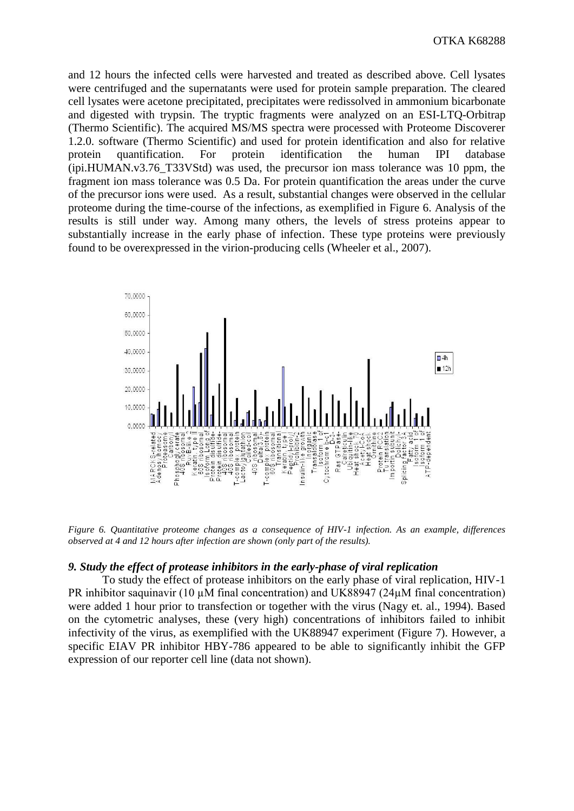and 12 hours the infected cells were harvested and treated as described above. Cell lysates were centrifuged and the supernatants were used for protein sample preparation. The cleared cell lysates were acetone precipitated, precipitates were redissolved in ammonium bicarbonate and digested with trypsin. The tryptic fragments were analyzed on an ESI-LTQ-Orbitrap (Thermo Scientific). The acquired MS/MS spectra were processed with Proteome Discoverer 1.2.0. software (Thermo Scientific) and used for protein identification and also for relative protein quantification. For protein identification the human IPI database (ipi.HUMAN.v3.76\_T33VStd) was used, the precursor ion mass tolerance was 10 ppm, the fragment ion mass tolerance was 0.5 Da. For protein quantification the areas under the curve of the precursor ions were used. As a result, substantial changes were observed in the cellular proteome during the time-course of the infections, as exemplified in Figure 6. Analysis of the results is still under way. Among many others, the levels of stress proteins appear to substantially increase in the early phase of infection. These type proteins were previously found to be overexpressed in the virion-producing cells (Wheeler et al., 2007).



*Figure 6. Quantitative proteome changes as a consequence of HIV-1 infection. As an example, differences observed at 4 and 12 hours after infection are shown (only part of the results).* 

### *9. Study the effect of protease inhibitors in the early-phase of viral replication*

To study the effect of protease inhibitors on the early phase of viral replication, HIV-1 PR inhibitor saquinavir (10  $\mu$ M final concentration) and UK88947 (24 $\mu$ M final concentration) were added 1 hour prior to transfection or together with the virus (Nagy et. al., 1994). Based on the cytometric analyses, these (very high) concentrations of inhibitors failed to inhibit infectivity of the virus, as exemplified with the UK88947 experiment (Figure 7). However, a specific EIAV PR inhibitor HBY-786 appeared to be able to significantly inhibit the GFP expression of our reporter cell line (data not shown).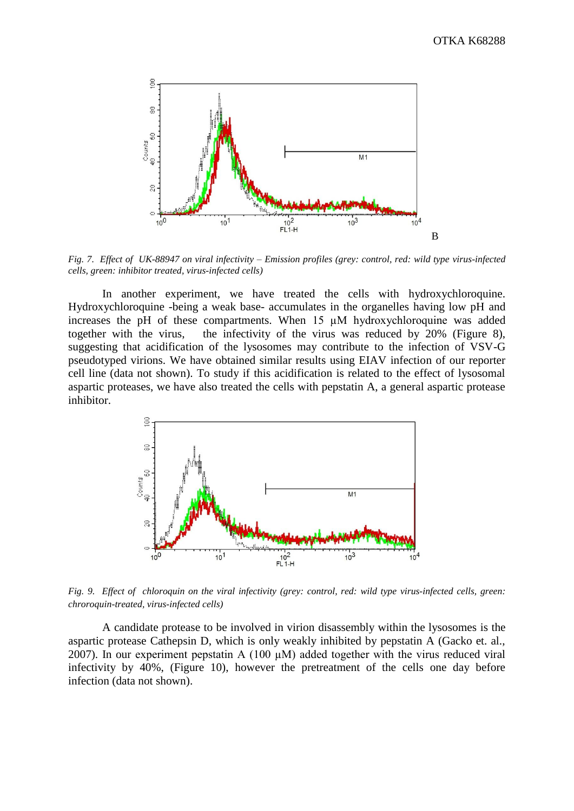

*Fig. 7. Effect of UK-88947 on viral infectivity – Emission profiles (grey: control, red: wild type virus-infected cells, green: inhibitor treated, virus-infected cells)*

In another experiment, we have treated the cells with hydroxychloroquine. Hydroxychloroquine -being a weak base- accumulates in the organelles having low pH and increases the pH of these compartments. When 15 µM hydroxychloroquine was added together with the virus, the infectivity of the virus was reduced by 20% (Figure 8), suggesting that acidification of the lysosomes may contribute to the infection of VSV-G pseudotyped virions. We have obtained similar results using EIAV infection of our reporter cell line (data not shown). To study if this acidification is related to the effect of lysosomal aspartic proteases, we have also treated the cells with pepstatin A, a general aspartic protease inhibitor.



*Fig. 9. Effect of chloroquin on the viral infectivity (grey: control, red: wild type virus-infected cells, green: chroroquin-treated, virus-infected cells)*

A candidate protease to be involved in virion disassembly within the lysosomes is the aspartic protease Cathepsin D, which is only weakly inhibited by pepstatin A (Gacko et. al., 2007). In our experiment pepstatin A (100  $\mu$ M) added together with the virus reduced viral infectivity by 40%, (Figure 10), however the pretreatment of the cells one day before infection (data not shown).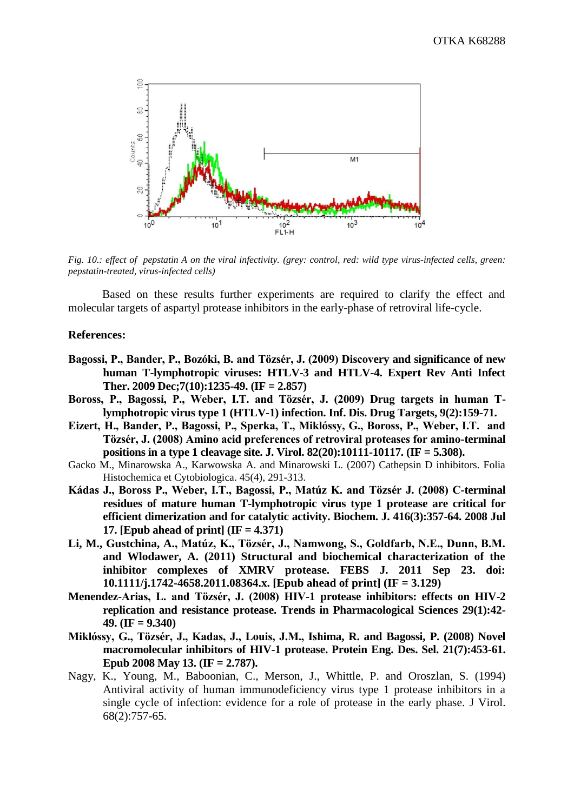

*Fig. 10.: effect of pepstatin A on the viral infectivity. (grey: control, red: wild type virus-infected cells, green: pepstatin-treated, virus-infected cells)*

Based on these results further experiments are required to clarify the effect and molecular targets of aspartyl protease inhibitors in the early-phase of retroviral life-cycle.

## **References:**

- **Bagossi, P., Bander, P., Bozóki, B. and Tözsér, J. (2009) Discovery and significance of new human T-lymphotropic viruses: HTLV-3 and HTLV-4. Expert Rev Anti Infect Ther. 2009 Dec;7(10):1235-49. (IF = 2.857)**
- **Boross, P., Bagossi, P., Weber, I.T. and Tözsér, J. (2009) Drug targets in human Tlymphotropic virus type 1 (HTLV-1) infection. Inf. Dis. Drug Targets, 9(2):159-71.**
- **Eizert, H., Bander, P., Bagossi, P., Sperka, T., Miklóssy, G., Boross, P., Weber, I.T. and Tözsér, J. (2008) Amino acid preferences of retroviral proteases for amino-terminal positions in a type 1 cleavage site. J. Virol. 82(20):10111-10117. (IF = 5.308).**
- Gacko M., Minarowska A., Karwowska A. and Minarowski L. (2007) Cathepsin D inhibitors. Folia Histochemica et Cytobiologica. 45(4), 291-313.
- **Kádas J., Boross P., Weber, I.T., Bagossi, P., Matúz K. and Tözsér J. (2008) C-terminal residues of mature human T-lymphotropic virus type 1 protease are critical for efficient dimerization and for catalytic activity. Biochem. J. 416(3):357-64. 2008 Jul 17. [Epub ahead of print] (IF = 4.371)**
- **Li, M., Gustchina, A., Matúz, K., Tözsér, J., Namwong, S., Goldfarb, N.E., Dunn, B.M. and Wlodawer, A. (2011) Structural and biochemical characterization of the inhibitor complexes of XMRV protease. FEBS J. 2011 Sep 23. doi: 10.1111/j.1742-4658.2011.08364.x. [Epub ahead of print] (IF = 3.129)**
- **Menendez-Arias, L. and Tözsér, J. (2008) HIV-1 protease inhibitors: effects on HIV-2 replication and resistance protease. Trends in Pharmacological Sciences 29(1):42- 49. (IF = 9.340)**
- **Miklóssy, G., Tözsér, J., Kadas, J., Louis, J.M., Ishima, R. and Bagossi, P. (2008) Novel macromolecular inhibitors of HIV-1 protease. Protein Eng. Des. Sel. 21(7):453-61. Epub 2008 May 13. (IF = 2.787).**
- Nagy, K., Young, M., Baboonian, C., Merson, J., Whittle, P. and Oroszlan, S. (1994) Antiviral activity of human immunodeficiency virus type 1 protease inhibitors in a single cycle of infection: evidence for a role of protease in the early phase. J Virol. 68(2):757-65.